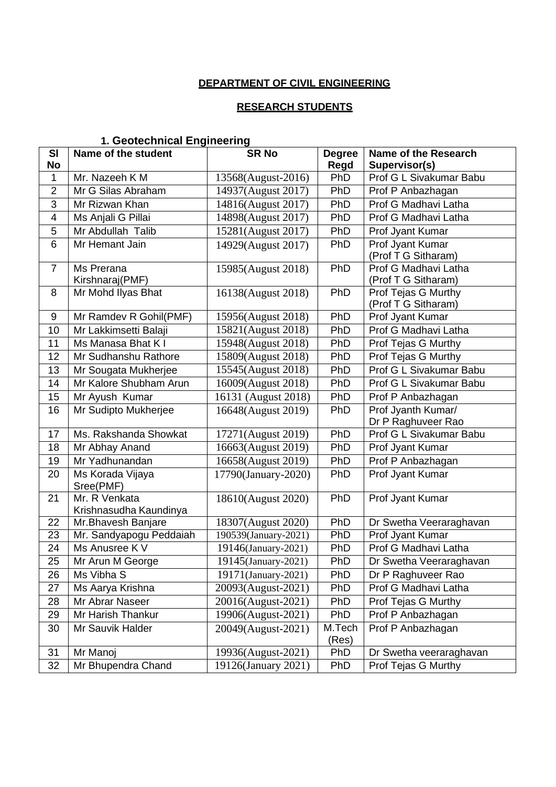### **DEPARTMENT OF CIVIL ENGINEERING**

#### **RESEARCH STUDENTS**

# **1. Geotechnical Engineering**

| <b>SI</b>      | Name of the student                     | <b>SR No</b>         | <b>Degree</b>   | <b>Name of the Research</b>                 |
|----------------|-----------------------------------------|----------------------|-----------------|---------------------------------------------|
| <b>No</b>      |                                         |                      | Regd            | Supervisor(s)                               |
| 1              | Mr. Nazeeh K M                          | 13568(August-2016)   | PhD             | Prof G L Sivakumar Babu                     |
| $\overline{2}$ | Mr G Silas Abraham                      | 14937(August 2017)   | PhD             | Prof P Anbazhagan                           |
| $\overline{3}$ | Mr Rizwan Khan                          | 14816(August 2017)   | PhD             | Prof G Madhavi Latha                        |
| 4              | Ms Anjali G Pillai                      | 14898(August 2017)   | PhD             | Prof G Madhavi Latha                        |
| 5              | Mr Abdullah Talib                       | 15281(August 2017)   | PhD             | Prof Jyant Kumar                            |
| 6              | Mr Hemant Jain                          | 14929(August 2017)   | PhD             | Prof Jyant Kumar<br>(Prof T G Sitharam)     |
| $\overline{7}$ | Ms Prerana<br>Kirshnaraj(PMF)           | 15985(August 2018)   | PhD             | Prof G Madhavi Latha<br>(Prof T G Sitharam) |
| 8              | Mr Mohd Ilyas Bhat                      | 16138(August 2018)   | PhD             | Prof Tejas G Murthy<br>(Prof T G Sitharam)  |
| 9              | Mr Ramdev R Gohil(PMF)                  | 15956(August 2018)   | PhD             | Prof Jyant Kumar                            |
| 10             | Mr Lakkimsetti Balaji                   | 15821(August 2018)   | PhD             | Prof G Madhavi Latha                        |
| 11             | Ms Manasa Bhat K I                      | 15948(August 2018)   | PhD             | Prof Tejas G Murthy                         |
| 12             | Mr Sudhanshu Rathore                    | 15809(August 2018)   | PhD             | Prof Tejas G Murthy                         |
| 13             | Mr Sougata Mukherjee                    | 15545(August 2018)   | PhD             | Prof G L Sivakumar Babu                     |
| 14             | Mr Kalore Shubham Arun                  | 16009(August 2018)   | PhD             | Prof G L Sivakumar Babu                     |
| 15             | Mr Ayush Kumar                          | 16131 (August 2018)  | PhD             | Prof P Anbazhagan                           |
| 16             | Mr Sudipto Mukherjee                    | 16648(August 2019)   | PhD             | Prof Jyanth Kumar/<br>Dr P Raghuveer Rao    |
| 17             | Ms. Rakshanda Showkat                   | 17271(August 2019)   | PhD             | Prof G L Sivakumar Babu                     |
| 18             | Mr Abhay Anand                          | 16663(August 2019)   | PhD             | Prof Jyant Kumar                            |
| 19             | Mr Yadhunandan                          | 16658(August 2019)   | PhD             | Prof P Anbazhagan                           |
| 20             | Ms Korada Vijaya<br>Sree(PMF)           | 17790(January-2020)  | PhD             | Prof Jyant Kumar                            |
| 21             | Mr. R Venkata<br>Krishnasudha Kaundinya | 18610(August 2020)   | PhD             | Prof Jyant Kumar                            |
| 22             | Mr.Bhavesh Banjare                      | 18307(August 2020)   | PhD             | Dr Swetha Veeraraghavan                     |
| 23             | Mr. Sandyapogu Peddaiah                 | 190539(January-2021) | PhD             | <b>Prof Jyant Kumar</b>                     |
| 24             | Ms Anusree K V                          | 19146(January-2021)  | PhD             | Prof G Madhavi Latha                        |
| 25             | Mr Arun M George                        | 19145(January-2021)  | PhD             | Dr Swetha Veeraraghavan                     |
| 26             | Ms Vibha S                              | 19171(January-2021)  | PhD             | Dr P Raghuveer Rao                          |
| 27             | Ms Aarya Krishna                        | 20093(August-2021)   | PhD             | Prof G Madhavi Latha                        |
| 28             | Mr Abrar Naseer                         | 20016(August-2021)   | PhD             | Prof Tejas G Murthy                         |
| 29             | Mr Harish Thankur                       | 19906(August-2021)   | PhD             | Prof P Anbazhagan                           |
| 30             | Mr Sauvik Halder                        | 20049(August-2021)   | M.Tech<br>(Res) | Prof P Anbazhagan                           |
| 31             | Mr Manoj                                | 19936(August-2021)   | PhD             | Dr Swetha veeraraghavan                     |
| 32             | Mr Bhupendra Chand                      | 19126(January 2021)  | PhD             | Prof Tejas G Murthy                         |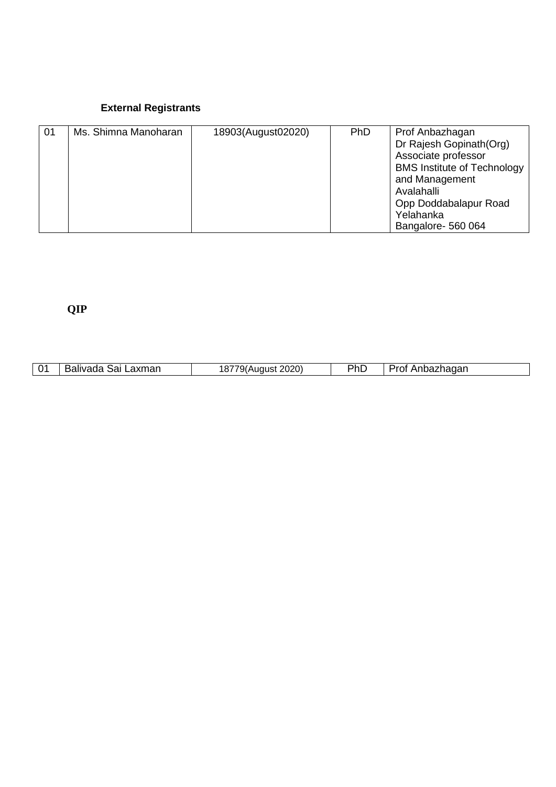#### **External Registrants**

| 01 | Ms. Shimna Manoharan | 18903(August02020) | <b>PhD</b> | Prof Anbazhagan<br>Dr Rajesh Gopinath (Org)<br>Associate professor<br><b>BMS Institute of Technology</b><br>and Management<br>Avalahalli<br>Opp Doddabalapur Road |
|----|----------------------|--------------------|------------|-------------------------------------------------------------------------------------------------------------------------------------------------------------------|
|    |                      |                    |            | Yelahanka<br>Bangalore- 560 064                                                                                                                                   |

# **QIP**

| 01 | Laxmar<br>ാപ<br>הוח | יי<br>$\cdots$ | Dh<br>1 I L | $\sim$ $\sim$ $\sim$<br>ldudi |
|----|---------------------|----------------|-------------|-------------------------------|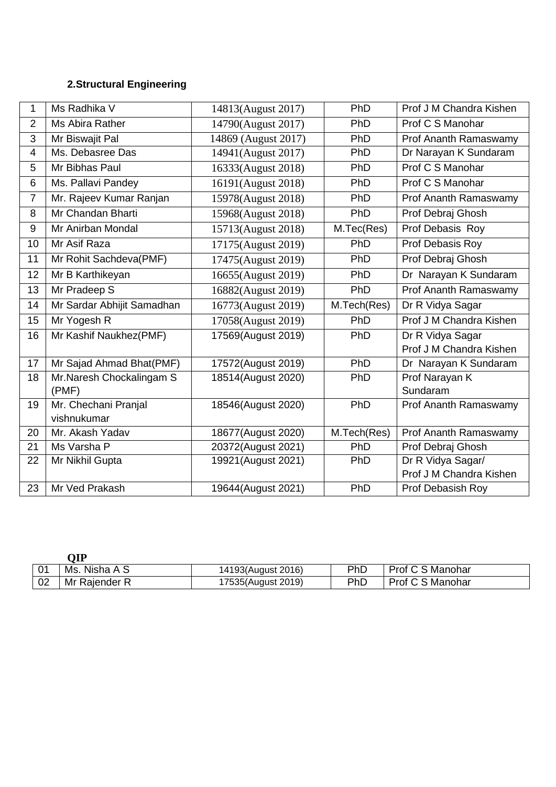## **2.Structural Engineering**

| 1                       | Ms Radhika V               | 14813(August 2017)  | PhD         | Prof J M Chandra Kishen |
|-------------------------|----------------------------|---------------------|-------------|-------------------------|
| $\overline{2}$          | Ms Abira Rather            | 14790(August 2017)  | PhD         | Prof C S Manohar        |
| 3                       | Mr Biswajit Pal            | 14869 (August 2017) | PhD         | Prof Ananth Ramaswamy   |
| $\overline{\mathbf{4}}$ | Ms. Debasree Das           | 14941(August 2017)  | PhD         | Dr Narayan K Sundaram   |
| 5                       | Mr Bibhas Paul             | 16333(August 2018)  | PhD         | Prof C S Manohar        |
| 6                       | Ms. Pallavi Pandey         | 16191(August 2018)  | PhD         | Prof C S Manohar        |
| $\overline{7}$          | Mr. Rajeev Kumar Ranjan    | 15978(August 2018)  | PhD         | Prof Ananth Ramaswamy   |
| 8                       | Mr Chandan Bharti          | 15968(August 2018)  | PhD         | Prof Debraj Ghosh       |
| $9\,$                   | Mr Anirban Mondal          | 15713(August 2018)  | M.Tec(Res)  | Prof Debasis Roy        |
| 10                      | Mr Asif Raza               | 17175(August 2019)  | PhD         | Prof Debasis Roy        |
| 11                      | Mr Rohit Sachdeva(PMF)     | 17475(August 2019)  | PhD         | Prof Debraj Ghosh       |
| 12                      | Mr B Karthikeyan           | 16655(August 2019)  | PhD         | Dr Narayan K Sundaram   |
| 13                      | Mr Pradeep S               | 16882(August 2019)  | PhD         | Prof Ananth Ramaswamy   |
| 14                      | Mr Sardar Abhijit Samadhan | 16773(August 2019)  | M.Tech(Res) | Dr R Vidya Sagar        |
| 15                      | Mr Yogesh R                | 17058(August 2019)  | PhD         | Prof J M Chandra Kishen |
| 16                      | Mr Kashif Naukhez(PMF)     | 17569(August 2019)  | PhD         | Dr R Vidya Sagar        |
|                         |                            |                     |             | Prof J M Chandra Kishen |
| 17                      | Mr Sajad Ahmad Bhat(PMF)   | 17572(August 2019)  | PhD         | Dr Narayan K Sundaram   |
| 18                      | Mr. Naresh Chockalingam S  | 18514(August 2020)  | PhD         | Prof Narayan K          |
|                         | (PMF)                      |                     |             | Sundaram                |
| 19                      | Mr. Chechani Pranjal       | 18546(August 2020)  | PhD         | Prof Ananth Ramaswamy   |
|                         | vishnukumar                |                     |             |                         |
| 20                      | Mr. Akash Yadav            | 18677(August 2020)  | M.Tech(Res) | Prof Ananth Ramaswamy   |
| 21                      | Ms Varsha P                | 20372(August 2021)  | PhD         | Prof Debraj Ghosh       |
| 22                      | Mr Nikhil Gupta            | 19921(August 2021)  | PhD         | Dr R Vidya Sagar/       |
|                         |                            |                     |             | Prof J M Chandra Kishen |
| 23                      | Mr Ved Prakash             | 19644(August 2021)  | PhD         | Prof Debasish Roy       |

|    | ЭIР                |                    |     |                  |
|----|--------------------|--------------------|-----|------------------|
| 01 | . Nisha A S<br>Ms. | 14193(August 2016) | PhD | Prof C S Manohar |
| 02 | Mr Rajender R      | 17535(August 2019) | PhC | Prof C S Manohar |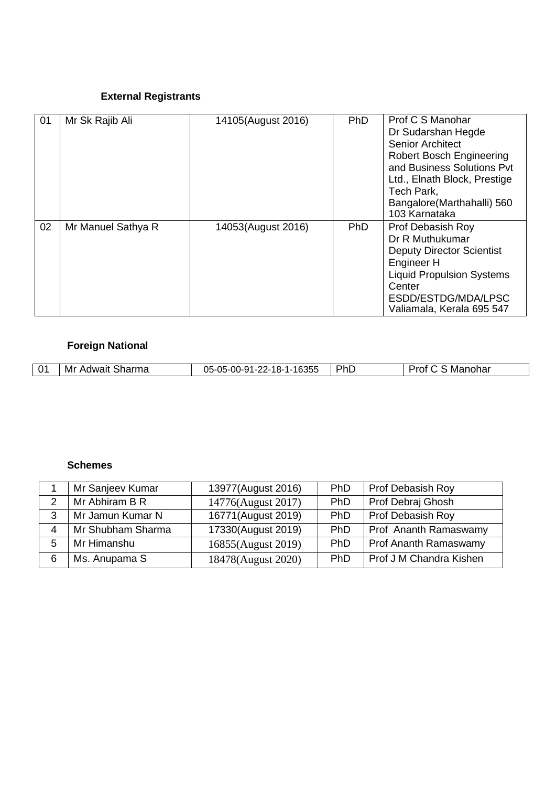### **External Registrants**

| 01 | Mr Sk Rajib Ali    | 14105(August 2016) | <b>PhD</b> | Prof C S Manohar<br>Dr Sudarshan Hegde<br>Senior Architect<br><b>Robert Bosch Engineering</b><br>and Business Solutions Pvt<br>Ltd., Elnath Block, Prestige<br>Tech Park,<br>Bangalore (Marthahalli) 560<br>103 Karnataka |
|----|--------------------|--------------------|------------|---------------------------------------------------------------------------------------------------------------------------------------------------------------------------------------------------------------------------|
| 02 | Mr Manuel Sathya R | 14053(August 2016) | PhD        | <b>Prof Debasish Roy</b><br>Dr R Muthukumar<br><b>Deputy Director Scientist</b><br>Engineer H<br><b>Liquid Propulsion Systems</b><br>Center<br>ESDD/ESTDG/MDA/LPSC<br>Valiamala, Kerala 695 547                           |

## **Foreign National**

| $\bigcap$ | Sharma<br>Adwait<br>Mı | $-16355$<br>_ባ5-.<br>-05-00-91<br>nn.<br>10.<br>$\mathbf{I}$ – $\mathbf{Z}$<br>Z-10-<br>UJ | PhL | Manohar<br>100<br>. יט |
|-----------|------------------------|--------------------------------------------------------------------------------------------|-----|------------------------|

#### **Schemes**

| Mr Sanjeev Kumar  | 13977(August 2016) | <b>PhD</b> | <b>Prof Debasish Roy</b> |
|-------------------|--------------------|------------|--------------------------|
| Mr Abhiram B R    | 14776(August 2017) | PhD        | Prof Debraj Ghosh        |
| Mr Jamun Kumar N  | 16771(August 2019) | PhD        | <b>Prof Debasish Roy</b> |
| Mr Shubham Sharma | 17330(August 2019) | PhD        | Prof Ananth Ramaswamy    |
| Mr Himanshu       | 16855(August 2019) | PhD        | Prof Ananth Ramaswamy    |
| Ms. Anupama S     | 18478(August 2020) | PhD        | Prof J M Chandra Kishen  |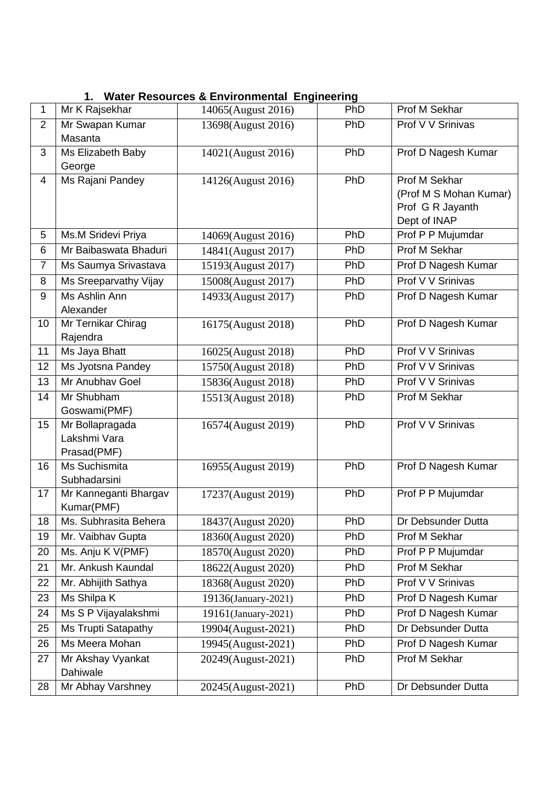|  | 1. Water Resources & Environmental Engineering |  |  |  |  |  |
|--|------------------------------------------------|--|--|--|--|--|
|--|------------------------------------------------|--|--|--|--|--|

| 1              | Mr K Rajsekhar                      | 14065(August 2016)  | <b>PhD</b> | <b>Prof M Sekhar</b>                       |
|----------------|-------------------------------------|---------------------|------------|--------------------------------------------|
| $\overline{2}$ | Mr Swapan Kumar                     | 13698(August 2016)  | PhD        | Prof V V Srinivas                          |
|                | Masanta                             |                     |            |                                            |
| 3              | Ms Elizabeth Baby                   | 14021(August 2016)  | PhD        | Prof D Nagesh Kumar                        |
|                | George                              |                     |            |                                            |
| 4              | Ms Rajani Pandey                    | 14126(August 2016)  | PhD        | Prof M Sekhar                              |
|                |                                     |                     |            | (Prof M S Mohan Kumar)<br>Prof G R Jayanth |
|                |                                     |                     |            | Dept of INAP                               |
| 5              | Ms.M Sridevi Priya                  | 14069(August 2016)  | PhD        | Prof P P Mujumdar                          |
| 6              | Mr Baibaswata Bhaduri               | 14841(August 2017)  | PhD        | <b>Prof M Sekhar</b>                       |
| $\overline{7}$ | Ms Saumya Srivastava                | 15193(August 2017)  | PhD        | Prof D Nagesh Kumar                        |
| 8              | Ms Sreeparvathy Vijay               | 15008(August 2017)  | PhD        | Prof V V Srinivas                          |
| 9              | Ms Ashlin Ann                       | 14933(August 2017)  | PhD        | Prof D Nagesh Kumar                        |
|                | Alexander                           |                     |            |                                            |
| 10             | Mr Ternikar Chirag                  | 16175(August 2018)  | PhD        | Prof D Nagesh Kumar                        |
|                | Rajendra                            |                     |            |                                            |
| 11             | Ms Jaya Bhatt                       | 16025(August 2018)  | PhD        | Prof V V Srinivas                          |
| 12             | Ms Jyotsna Pandey                   | 15750(August 2018)  | PhD        | Prof V V Srinivas                          |
| 13             | Mr Anubhav Goel                     | 15836(August 2018)  | PhD        | Prof V V Srinivas                          |
| 14             | Mr Shubham                          | 15513(August 2018)  | PhD        | Prof M Sekhar                              |
|                | Goswami(PMF)                        |                     |            |                                            |
| 15             | Mr Bollapragada                     | 16574(August 2019)  | PhD        | Prof V V Srinivas                          |
|                | Lakshmi Vara                        |                     |            |                                            |
|                | Prasad(PMF)                         |                     |            |                                            |
| 16             | Ms Suchismita                       | 16955(August 2019)  | PhD        | Prof D Nagesh Kumar                        |
|                | Subhadarsini                        |                     |            |                                            |
| 17             | Mr Kanneganti Bhargav<br>Kumar(PMF) | 17237(August 2019)  | PhD        | Prof P P Mujumdar                          |
| 18             | Ms. Subhrasita Behera               | 18437(August 2020)  | PhD        | Dr Debsunder Dutta                         |
| 19             | Mr. Vaibhav Gupta                   | 18360(August 2020)  | PhD        | Prof M Sekhar                              |
| 20             | Ms. Anju K V(PMF)                   | 18570(August 2020)  | PhD        | Prof P P Mujumdar                          |
| 21             | Mr. Ankush Kaundal                  | 18622(August 2020)  | PhD        | Prof M Sekhar                              |
| 22             | Mr. Abhijith Sathya                 | 18368(August 2020)  | PhD        | Prof V V Srinivas                          |
| 23             | Ms Shilpa K                         | 19136(January-2021) | PhD        | Prof D Nagesh Kumar                        |
| 24             | Ms S P Vijayalakshmi                | 19161(January-2021) | PhD        | Prof D Nagesh Kumar                        |
| 25             | <b>Ms Trupti Satapathy</b>          |                     | PhD        | Dr Debsunder Dutta                         |
|                | Ms Meera Mohan                      | 19904(August-2021)  | PhD        |                                            |
| 26             |                                     | 19945(August-2021)  |            | Prof D Nagesh Kumar                        |
| 27             | Mr Akshay Vyankat<br>Dahiwale       | 20249(August-2021)  | PhD        | Prof M Sekhar                              |
| 28             | Mr Abhay Varshney                   | 20245(August-2021)  | PhD        | Dr Debsunder Dutta                         |
|                |                                     |                     |            |                                            |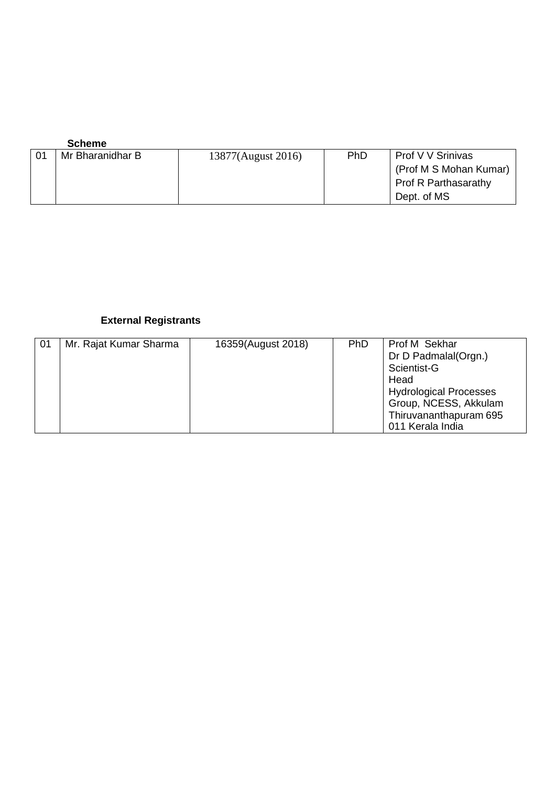| <b>Scheme</b>    |                    |            |                             |
|------------------|--------------------|------------|-----------------------------|
| Mr Bharanidhar B | 13877(August 2016) | <b>PhD</b> | Prof V V Srinivas           |
|                  |                    |            | (Prof M S Mohan Kumar)      |
|                  |                    |            | <b>Prof R Parthasarathy</b> |
|                  |                    |            | Dept. of MS                 |

## **External Registrants**

| 01 | Mr. Rajat Kumar Sharma | 16359(August 2018) | PhD | Prof M Sekhar<br>Dr D Padmalal(Orgn.)                  |
|----|------------------------|--------------------|-----|--------------------------------------------------------|
|    |                        |                    |     | Scientist-G<br>Head                                    |
|    |                        |                    |     | <b>Hydrological Processes</b><br>Group, NCESS, Akkulam |
|    |                        |                    |     | Thiruvananthapuram 695<br>011 Kerala India             |